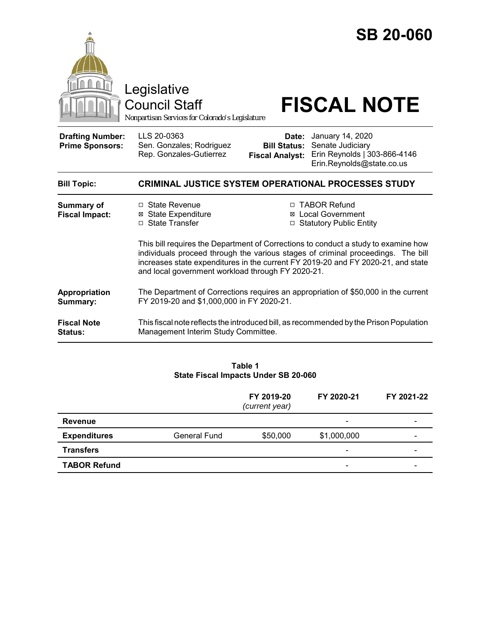

| Table 1                              |  |  |  |  |
|--------------------------------------|--|--|--|--|
| State Fiscal Impacts Under SB 20-060 |  |  |  |  |

|                     |                     | FY 2019-20<br>(current year) | FY 2020-21                   | FY 2021-22               |
|---------------------|---------------------|------------------------------|------------------------------|--------------------------|
| Revenue             |                     |                              | $\qquad \qquad \blacksquare$ | $\overline{\phantom{0}}$ |
| <b>Expenditures</b> | <b>General Fund</b> | \$50,000                     | \$1,000,000                  | -                        |
| <b>Transfers</b>    |                     |                              | -                            | -                        |
| <b>TABOR Refund</b> |                     |                              | $\overline{\phantom{0}}$     |                          |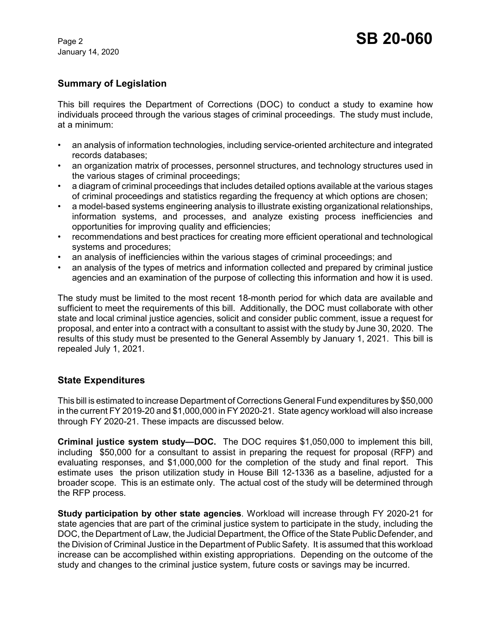January 14, 2020

# **Summary of Legislation**

This bill requires the Department of Corrections (DOC) to conduct a study to examine how individuals proceed through the various stages of criminal proceedings. The study must include, at a minimum:

- an analysis of information technologies, including service-oriented architecture and integrated records databases;
- an organization matrix of processes, personnel structures, and technology structures used in the various stages of criminal proceedings;
- a diagram of criminal proceedings that includes detailed options available at the various stages of criminal proceedings and statistics regarding the frequency at which options are chosen;
- a model-based systems engineering analysis to illustrate existing organizational relationships, information systems, and processes, and analyze existing process inefficiencies and opportunities for improving quality and efficiencies;
- recommendations and best practices for creating more efficient operational and technological systems and procedures;
- an analysis of inefficiencies within the various stages of criminal proceedings; and
- an analysis of the types of metrics and information collected and prepared by criminal justice agencies and an examination of the purpose of collecting this information and how it is used.

The study must be limited to the most recent 18-month period for which data are available and sufficient to meet the requirements of this bill. Additionally, the DOC must collaborate with other state and local criminal justice agencies, solicit and consider public comment, issue a request for proposal, and enter into a contract with a consultant to assist with the study by June 30, 2020. The results of this study must be presented to the General Assembly by January 1, 2021. This bill is repealed July 1, 2021.

# **State Expenditures**

This bill is estimated to increase Department of Corrections General Fund expenditures by \$50,000 in the current FY 2019-20 and \$1,000,000 in FY 2020-21. State agency workload will also increase through FY 2020-21. These impacts are discussed below.

**Criminal justice system study—DOC.** The DOC requires \$1,050,000 to implement this bill, including \$50,000 for a consultant to assist in preparing the request for proposal (RFP) and evaluating responses, and \$1,000,000 for the completion of the study and final report. This estimate uses the prison utilization study in House Bill 12-1336 as a baseline, adjusted for a broader scope. This is an estimate only. The actual cost of the study will be determined through the RFP process.

**Study participation by other state agencies**. Workload will increase through FY 2020-21 for state agencies that are part of the criminal justice system to participate in the study, including the DOC, the Department of Law, the Judicial Department, the Office of the State Public Defender, and the Division of Criminal Justice in the Department of Public Safety. It is assumed that this workload increase can be accomplished within existing appropriations. Depending on the outcome of the study and changes to the criminal justice system, future costs or savings may be incurred.